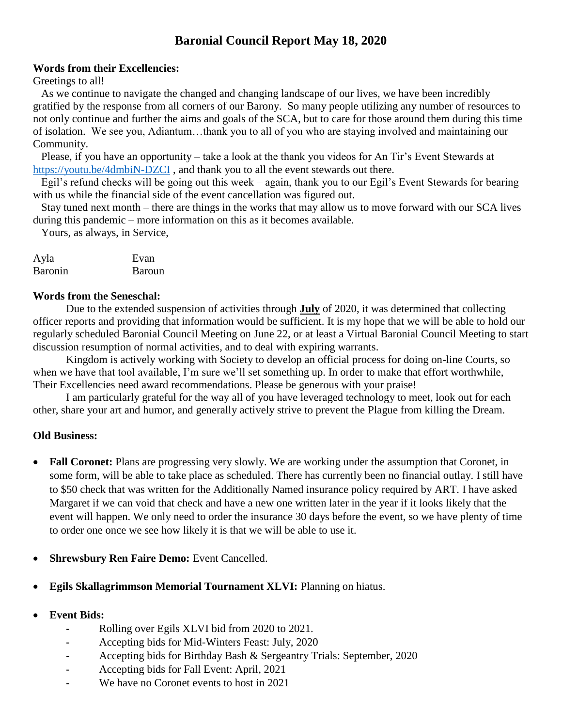# **Baronial Council Report May 18, 2020**

### **Words from their Excellencies:**

#### Greetings to all!

 As we continue to navigate the changed and changing landscape of our lives, we have been incredibly gratified by the response from all corners of our Barony. So many people utilizing any number of resources to not only continue and further the aims and goals of the SCA, but to care for those around them during this time of isolation. We see you, Adiantum…thank you to all of you who are staying involved and maintaining our Community.

 Please, if you have an opportunity – take a look at the thank you videos for An Tir's Event Stewards at <https://youtu.be/4dmbiN-DZCI> , and thank you to all the event stewards out there.

 Egil's refund checks will be going out this week – again, thank you to our Egil's Event Stewards for bearing with us while the financial side of the event cancellation was figured out.

 Stay tuned next month – there are things in the works that may allow us to move forward with our SCA lives during this pandemic – more information on this as it becomes available.

Yours, as always, in Service,

| Ayla           | Evan   |
|----------------|--------|
| <b>Baronin</b> | Baroun |

#### **Words from the Seneschal:**

Due to the extended suspension of activities through **July** of 2020, it was determined that collecting officer reports and providing that information would be sufficient. It is my hope that we will be able to hold our regularly scheduled Baronial Council Meeting on June 22, or at least a Virtual Baronial Council Meeting to start discussion resumption of normal activities, and to deal with expiring warrants.

Kingdom is actively working with Society to develop an official process for doing on-line Courts, so when we have that tool available, I'm sure we'll set something up. In order to make that effort worthwhile, Their Excellencies need award recommendations. Please be generous with your praise!

I am particularly grateful for the way all of you have leveraged technology to meet, look out for each other, share your art and humor, and generally actively strive to prevent the Plague from killing the Dream.

## **Old Business:**

- **Fall Coronet:** Plans are progressing very slowly. We are working under the assumption that Coronet, in some form, will be able to take place as scheduled. There has currently been no financial outlay. I still have to \$50 check that was written for the Additionally Named insurance policy required by ART. I have asked Margaret if we can void that check and have a new one written later in the year if it looks likely that the event will happen. We only need to order the insurance 30 days before the event, so we have plenty of time to order one once we see how likely it is that we will be able to use it.
- **Shrewsbury Ren Faire Demo:** Event Cancelled.
- **Egils Skallagrimmson Memorial Tournament XLVI:** Planning on hiatus.
- **Event Bids:** 
	- **-** Rolling over Egils XLVI bid from 2020 to 2021.
	- **-** Accepting bids for Mid-Winters Feast: July, 2020
	- **-** Accepting bids for Birthday Bash & Sergeantry Trials: September, 2020
	- **-** Accepting bids for Fall Event: April, 2021
	- **-** We have no Coronet events to host in 2021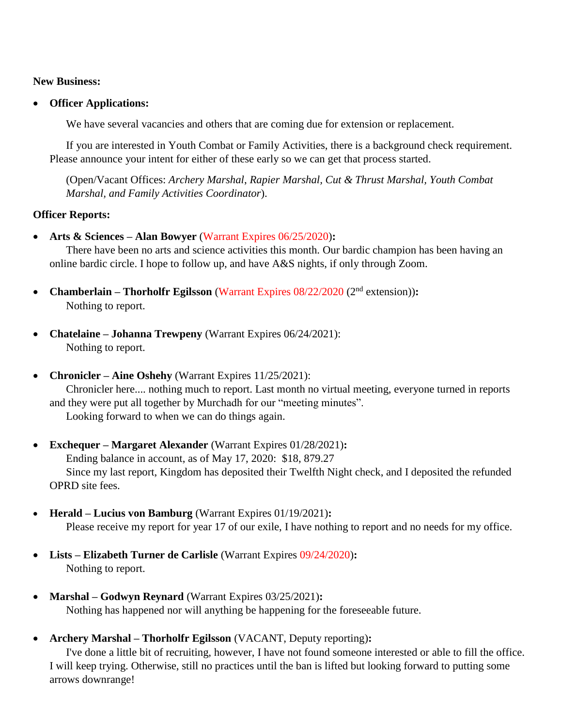#### **New Business:**

**Officer Applications:** 

We have several vacancies and others that are coming due for extension or replacement.

If you are interested in Youth Combat or Family Activities, there is a background check requirement. Please announce your intent for either of these early so we can get that process started.

(Open/Vacant Offices: *Archery Marshal*, *Rapier Marshal, Cut & Thrust Marshal, Youth Combat Marshal, and Family Activities Coordinator*).

## **Officer Reports:**

**Arts & Sciences – Alan Bowyer** (Warrant Expires 06/25/2020)**:**

There have been no arts and science activities this month. Our bardic champion has been having an online bardic circle. I hope to follow up, and have A&S nights, if only through Zoom.

- **Chamberlain Thorholfr Egilsson** (Warrant Expires 08/22/2020 (2<sup>nd</sup> extension)): Nothing to report.
- **Chatelaine – Johanna Trewpeny** (Warrant Expires 06/24/2021): Nothing to report.
- **Chronicler Aine Oshehy** (Warrant Expires 11/25/2021):

Chronicler here.... nothing much to report. Last month no virtual meeting, everyone turned in reports and they were put all together by Murchadh for our "meeting minutes". Looking forward to when we can do things again.

- **Exchequer – Margaret Alexander** (Warrant Expires 01/28/2021)**:**  Ending balance in account, as of May 17, 2020: \$18, 879.27 Since my last report, Kingdom has deposited their Twelfth Night check, and I deposited the refunded OPRD site fees.
- **Herald – Lucius von Bamburg** (Warrant Expires 01/19/2021)**:** Please receive my report for year 17 of our exile, I have nothing to report and no needs for my office.
- **Lists – Elizabeth Turner de Carlisle** (Warrant Expires 09/24/2020)**:** Nothing to report.
- **Marshal – Godwyn Reynard** (Warrant Expires 03/25/2021)**:**  Nothing has happened nor will anything be happening for the foreseeable future.
- **Archery Marshal – Thorholfr Egilsson** (VACANT, Deputy reporting)**:**

I've done a little bit of recruiting, however, I have not found someone interested or able to fill the office. I will keep trying. Otherwise, still no practices until the ban is lifted but looking forward to putting some arrows downrange!